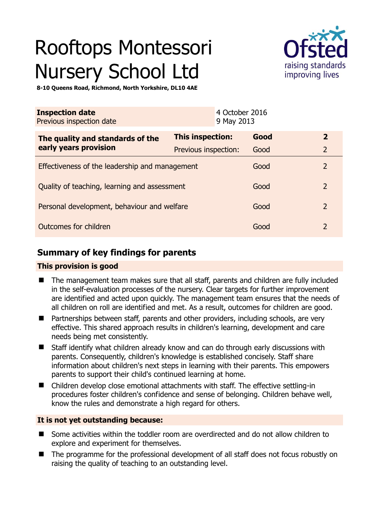# Rooftops Montessori Nursery School Ltd



**8-10 Queens Road, Richmond, North Yorkshire, DL10 4AE** 

| <b>Inspection date</b><br>Previous inspection date        |                      | 4 October 2016<br>9 May 2013 |      |                |
|-----------------------------------------------------------|----------------------|------------------------------|------|----------------|
| The quality and standards of the<br>early years provision | This inspection:     |                              | Good | $\overline{2}$ |
|                                                           | Previous inspection: |                              | Good | $\overline{2}$ |
| Effectiveness of the leadership and management            |                      |                              | Good | $\overline{2}$ |
| Quality of teaching, learning and assessment              |                      |                              | Good | $\overline{2}$ |
| Personal development, behaviour and welfare               |                      |                              | Good | $\overline{2}$ |
| Outcomes for children                                     |                      |                              | Good | $\overline{2}$ |

# **Summary of key findings for parents**

## **This provision is good**

- The management team makes sure that all staff, parents and children are fully included in the self-evaluation processes of the nursery. Clear targets for further improvement are identified and acted upon quickly. The management team ensures that the needs of all children on roll are identified and met. As a result, outcomes for children are good.
- Partnerships between staff, parents and other providers, including schools, are very effective. This shared approach results in children's learning, development and care needs being met consistently.
- Staff identify what children already know and can do through early discussions with parents. Consequently, children's knowledge is established concisely. Staff share information about children's next steps in learning with their parents. This empowers parents to support their child's continued learning at home.
- Children develop close emotional attachments with staff. The effective settling-in procedures foster children's confidence and sense of belonging. Children behave well, know the rules and demonstrate a high regard for others.

## **It is not yet outstanding because:**

- Some activities within the toddler room are overdirected and do not allow children to explore and experiment for themselves.
- The programme for the professional development of all staff does not focus robustly on raising the quality of teaching to an outstanding level.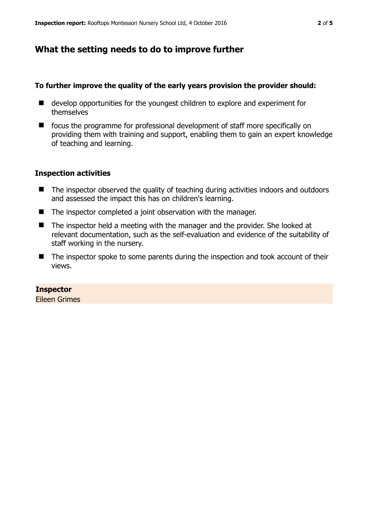## **What the setting needs to do to improve further**

#### **To further improve the quality of the early years provision the provider should:**

- develop opportunities for the youngest children to explore and experiment for themselves
- focus the programme for professional development of staff more specifically on providing them with training and support, enabling them to gain an expert knowledge of teaching and learning.

#### **Inspection activities**

- The inspector observed the quality of teaching during activities indoors and outdoors and assessed the impact this has on children's learning.
- The inspector completed a joint observation with the manager.
- The inspector held a meeting with the manager and the provider. She looked at relevant documentation, such as the self-evaluation and evidence of the suitability of staff working in the nursery.
- The inspector spoke to some parents during the inspection and took account of their views.

#### **Inspector**

Eileen Grimes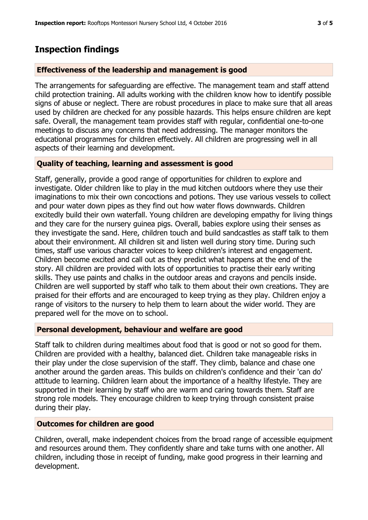# **Inspection findings**

#### **Effectiveness of the leadership and management is good**

The arrangements for safeguarding are effective. The management team and staff attend child protection training. All adults working with the children know how to identify possible signs of abuse or neglect. There are robust procedures in place to make sure that all areas used by children are checked for any possible hazards. This helps ensure children are kept safe. Overall, the management team provides staff with regular, confidential one-to-one meetings to discuss any concerns that need addressing. The manager monitors the educational programmes for children effectively. All children are progressing well in all aspects of their learning and development.

## **Quality of teaching, learning and assessment is good**

Staff, generally, provide a good range of opportunities for children to explore and investigate. Older children like to play in the mud kitchen outdoors where they use their imaginations to mix their own concoctions and potions. They use various vessels to collect and pour water down pipes as they find out how water flows downwards. Children excitedly build their own waterfall. Young children are developing empathy for living things and they care for the nursery guinea pigs. Overall, babies explore using their senses as they investigate the sand. Here, children touch and build sandcastles as staff talk to them about their environment. All children sit and listen well during story time. During such times, staff use various character voices to keep children's interest and engagement. Children become excited and call out as they predict what happens at the end of the story. All children are provided with lots of opportunities to practise their early writing skills. They use paints and chalks in the outdoor areas and crayons and pencils inside. Children are well supported by staff who talk to them about their own creations. They are praised for their efforts and are encouraged to keep trying as they play. Children enjoy a range of visitors to the nursery to help them to learn about the wider world. They are prepared well for the move on to school.

#### **Personal development, behaviour and welfare are good**

Staff talk to children during mealtimes about food that is good or not so good for them. Children are provided with a healthy, balanced diet. Children take manageable risks in their play under the close supervision of the staff. They climb, balance and chase one another around the garden areas. This builds on children's confidence and their 'can do' attitude to learning. Children learn about the importance of a healthy lifestyle. They are supported in their learning by staff who are warm and caring towards them. Staff are strong role models. They encourage children to keep trying through consistent praise during their play.

## **Outcomes for children are good**

Children, overall, make independent choices from the broad range of accessible equipment and resources around them. They confidently share and take turns with one another. All children, including those in receipt of funding, make good progress in their learning and development.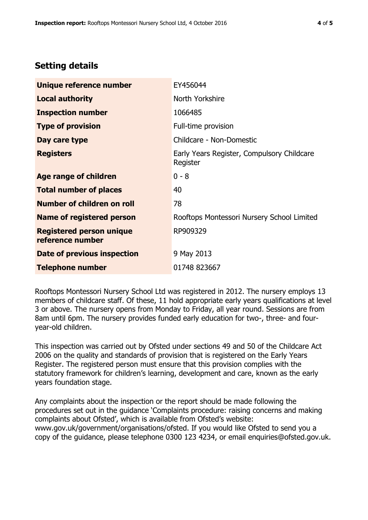# **Setting details**

| Unique reference number                             | EY456044                                               |  |  |
|-----------------------------------------------------|--------------------------------------------------------|--|--|
| <b>Local authority</b>                              | North Yorkshire                                        |  |  |
| <b>Inspection number</b>                            | 1066485                                                |  |  |
| <b>Type of provision</b>                            | Full-time provision                                    |  |  |
| Day care type                                       | Childcare - Non-Domestic                               |  |  |
| <b>Registers</b>                                    | Early Years Register, Compulsory Childcare<br>Register |  |  |
| Age range of children                               | $0 - 8$                                                |  |  |
| <b>Total number of places</b>                       | 40                                                     |  |  |
| Number of children on roll                          | 78                                                     |  |  |
| Name of registered person                           | Rooftops Montessori Nursery School Limited             |  |  |
| <b>Registered person unique</b><br>reference number | RP909329                                               |  |  |
| <b>Date of previous inspection</b>                  | 9 May 2013                                             |  |  |
| <b>Telephone number</b>                             | 01748 823667                                           |  |  |

Rooftops Montessori Nursery School Ltd was registered in 2012. The nursery employs 13 members of childcare staff. Of these, 11 hold appropriate early years qualifications at level 3 or above. The nursery opens from Monday to Friday, all year round. Sessions are from 8am until 6pm. The nursery provides funded early education for two-, three- and fouryear-old children.

This inspection was carried out by Ofsted under sections 49 and 50 of the Childcare Act 2006 on the quality and standards of provision that is registered on the Early Years Register. The registered person must ensure that this provision complies with the statutory framework for children's learning, development and care, known as the early years foundation stage.

Any complaints about the inspection or the report should be made following the procedures set out in the guidance 'Complaints procedure: raising concerns and making complaints about Ofsted', which is available from Ofsted's website: www.gov.uk/government/organisations/ofsted. If you would like Ofsted to send you a copy of the guidance, please telephone 0300 123 4234, or email enquiries@ofsted.gov.uk.